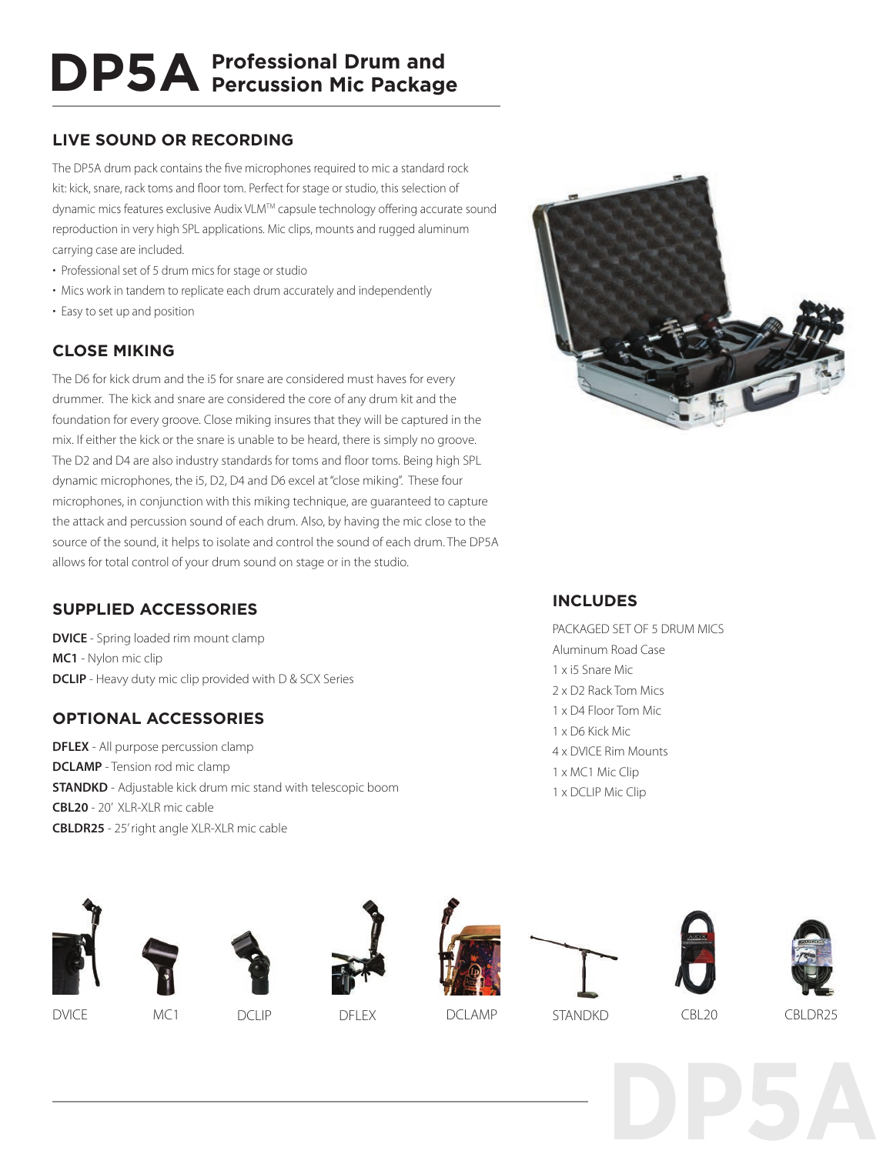# DP5A Professional Drum and **DP5A** Percussion Mic Package **Percussion Mic Package**

## **LIVE SOUND OR RECORDING**

The DP5A drum pack contains the five microphones required to mic a standard rock kit: kick, snare, rack toms and floor tom. Perfect for stage or studio, this selection of dynamic mics features exclusive Audix VLM™ capsule technology offering accurate sound reproduction in very high SPL applications. Mic clips, mounts and rugged aluminum carrying case are included.

- Professional set of 5 drum mics for stage or studio
- Mics work in tandem to replicate each drum accurately and independently
- **Easy to set up and position**

## **CLOSE MIKING**

The D6 for kick drum and the i5 for snare are considered must haves for every drummer. The kick and snare are considered the core of any drum kit and the foundation for every groove. Close miking insures that they will be captured in the mix. If either the kick or the snare is unable to be heard, there is simply no groove. The D2 and D4 are also industry standards for toms and floor toms. Being high SPL dynamic microphones, the i5, D2, D4 and D6 excel at "close miking". These four microphones, in conjunction with this miking technique, are guaranteed to capture the attack and percussion sound of each drum. Also, by having the mic close to the source of the sound, it helps to isolate and control the sound of each drum. The DP5A allows for total control of your drum sound on stage or in the studio.

### **SUPPLIED ACCESSORIES**

**DVICE** - Spring loaded rim mount clamp **MC1** - Nylon mic clip **DCLIP** - Heavy duty mic clip provided with D & SCX Series

## **OPTIONAL ACCESSORIES**

**DFLEX** - All purpose percussion clamp **DCLAMP** - Tension rod mic clamp **STANDKD** - Adjustable kick drum mic stand with telescopic boom **CBL20** - 20' XLR-XLR mic cable **CBLDR25** - 25' right angle XLR-XLR mic cable



#### **INCLUDES**

PACKAGED SET OF 5 DRUM MICS Aluminum Road Case 1 x i5 Snare Mic 2 x D2 Rack Tom Mics 1 x D4 Floor Tom Mic 1 x D6 Kick Mic 4 x DVICE Rim Mounts 1 x MC1 Mic Clip 1 x DCLIP Mic Clip

















DVICE MC1 DCLIP DFLEX DCLAMP STANDKD CBL20 CBLDR25

**DP5A**